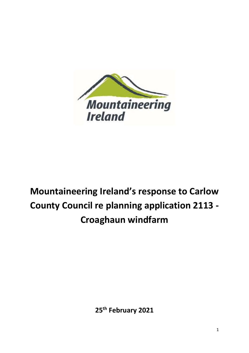

# **Mountaineering Ireland's response to Carlow County Council re planning application 2113 - Croaghaun windfarm**

**25th February 2021**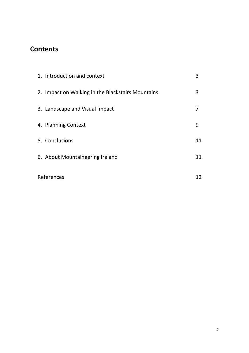## **Contents**

| 1. Introduction and context                       | 3  |
|---------------------------------------------------|----|
| 2. Impact on Walking in the Blackstairs Mountains | 3  |
| 3. Landscape and Visual Impact                    |    |
| 4. Planning Context                               | 9  |
| 5. Conclusions                                    | 11 |
| 6. About Mountaineering Ireland                   | 11 |
| References                                        |    |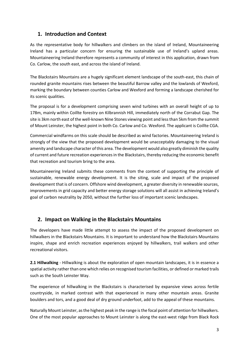#### **1. Introduction and Context**

As the representative body for hillwalkers and climbers on the island of Ireland, Mountaineering Ireland has a particular concern for ensuring the sustainable use of Ireland's upland areas. Mountaineering Ireland therefore represents a community of interest in this application, drawn from Co. Carlow, the south east, and across the island of Ireland.

The Blackstairs Mountains are a hugely significant element landscape of the south-east, this chain of rounded granite mountains rises between the beautiful Barrow valley and the lowlands of Wexford, marking the boundary between counties Carlow and Wexford and forming a landscape cherished for its scenic qualities.

The proposal is for a development comprising seven wind turbines with an overall height of up to 178m, mainly within Coillte forestry on Kilbrannish Hill, immediately north of the Corrabut Gap. The site is 3km north east of the well-known Nine Stones viewing point and less than 5km from the summit of Mount Leinster, the highest point in both Co. Carlow and Co. Wexford. The applicant is Coillte CGA.

Commercial windfarms on this scale should be described as wind factories. Mountaineering Ireland is strongly of the view that the proposed development would be unacceptably damaging to the visual amenity and landscape character of this area. The development would also greatly diminish the quality of current and future recreation experiences in the Blackstairs, thereby reducing the economic benefit that recreation and tourism bring to the area.

Mountaineering Ireland submits these comments from the context of supporting the principle of sustainable, renewable energy development. It is the siting, scale and impact of the proposed development that is of concern. Offshore wind development, a greater diversity in renewable sources, improvements in grid capacity and better energy storage solutions will all assist in achieving Ireland's goal of carbon neutrality by 2050, without the further loss of important scenic landscapes.

#### **2. Impact on Walking in the Blackstairs Mountains**

The developers have made little attempt to assess the impact of the proposed development on hillwalkers in the Blackstairs Mountains. It is important to understand how the Blackstairs Mountains inspire, shape and enrich recreation experiences enjoyed by hillwalkers, trail walkers and other recreational visitors.

**2.1 Hillwalking** - Hillwalking is about the exploration of open mountain landscapes, it is in essence a spatial activity rather than one which relies on recognised tourism facilities, or defined or marked trails such as the South Leinster Way.

The experience of hillwalking in the Blackstairs is characterised by expansive views across fertile countryside, in marked contrast with that experienced in many other mountain areas. Granite boulders and tors, and a good deal of dry ground underfoot, add to the appeal of these mountains.

Naturally Mount Leinster, as the highest peak in the range is the focal point of attention for hillwalkers. One of the most popular approaches to Mount Leinster is along the east-west ridge from Black Rock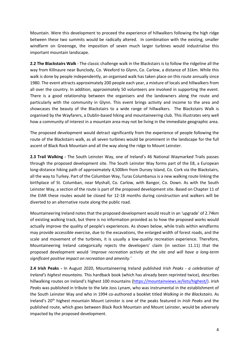Mountain. Were this development to proceed the experience of hillwalkers following the high ridge between these two summits would be radically altered. In combination with the existing, smaller windfarm on Greenoge, the imposition of seven much larger turbines would industrialise this important mountain landscape.

**2.2 The Blackstairs Walk** - The classic challenge walk in the Blackstairs is to follow the ridgeline all the way from Killnaure near Bunclody, Co. Wexford to Glynn, Co. Carlow, a distance of 31km. While this walk is done by people independently, an organised walk has taken place on this route annually since 1980. The event attracts approximately 200 people each year, a mixture of locals and hillwalkers from all over the country. In addition, approximately 50 volunteers are involved in supporting the event. There is a good relationship between the organisers and the landowners along the route and particularly with the community in Glynn. This event brings activity and income to the area and showcases the beauty of the Blackstairs to a wide range of hillwalkers. The Blackstairs Walk is organised by the Wayfarers, a Dublin-based hiking and mountaineering club. This illustrates very well how a community of interest in a mountain area may not be living in the immediate geographic area.

The proposed development would detract significantly from the experience of people following the route of the Blackstairs walk, as all seven turbines would be prominent in the landscape for the full ascent of Black Rock Mountain and all the way along the ridge to Mount Leinster.

**2.3 Trail Walking -** The South Leinster Way, one of Ireland's 46 National Waymarked Trails passes through the proposed development site. The South Leinster Way forms part of the E8, a European long-distance hiking path of approximately 4,500km from Dursey Island, Co. Cork via the Blackstairs, all the way to Turkey. Part of the Columban Way, Turas Columbanus is a new walking route linking the birthplace of St. Columban, near Myshall, Co. Carlow, with Bangor, Co. Down. As with the South Leinster Way, a section of the route is part of the proposed development site. Based on Chapter 11 of the EIAR these routes would be closed for 12-18 months during construction and walkers will be diverted to an alternative route along the public road.

Mountaineering Ireland notes that the proposed development would result in an 'upgrade' of 2.74km of existing walking track, but there is no information provided as to how the proposed works would actually improve the quality of people's experiences. As shown below, while trails within windfarms may provide accessible exercise, due to the excavations, the enlarged width of forest roads, and the scale and movement of the turbines, it is usually a low-quality recreation experience. Therefore, Mountaineering Ireland categorically rejects the developers' claim (in section 11.11) that the proposed development would '*improve recreation activity at the site and will have a long-term significant positive impact on recreation and amenity.'*

**2.4 Irish Peaks -** In August 2020, Mountaineering Ireland published *Irish Peaks* - *a celebration of Ireland's highest mountains*. This hardback book (which has already been reprinted twice), describes hillwalking routes on Ireland's highest 100 mountains [\(https://mountainviews.ie/lists/highest/\)](https://mountainviews.ie/lists/highest/). *Irish Peaks* was published in tribute to the late Joss Lynam, who was instrumental in the establishment of the South Leinster Way and who in 1994 co-authored a booklet titled *Walking in the Blackstairs*. As Ireland's 20th highest mountain Mount Leinster is one of the peaks featured in *Irish Peaks* and the published route, which goes between Black Rock Mountain and Mount Leinster, would be adversely impacted by the proposed development.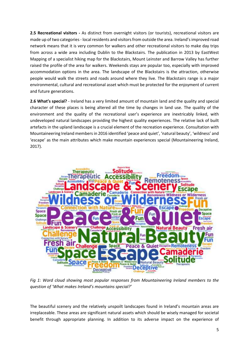**2.5 Recreational visitors -** As distinct from overnight visitors (or tourists), recreational visitors are made up of two categories - local residents and visitors from outside the area. Ireland's improved road network means that it is very common for walkers and other recreational visitors to make day trips from across a wide area including Dublin to the Blackstairs. The publication in 2013 by EastWest Mapping of a specialist hiking map for the Blackstairs, Mount Leinster and Barrow Valley has further raised the profile of the area for walkers. Weekends stays are popular too, especially with improved accommodation options in the area. The landscape of the Blackstairs is the attraction, otherwise people would walk the streets and roads around where they live. The Blackstairs range is a major environmental, cultural and recreational asset which must be protected for the enjoyment of current and future generations.

**2.6 What's special?** - Ireland has a very limited amount of mountain land and the quality and special character of these places is being altered all the time by changes in land use. The quality of the environment and the quality of the recreational user's experience are inextricably linked, with undeveloped natural landscapes providing the highest quality experiences. The relative lack of built artefacts in the upland landscape is a crucial element of the recreation experience. Consultation with Mountaineering Ireland members in 2016 identified 'peace and quiet', 'natural beauty', 'wildness' and 'escape' as the main attributes which make mountain experiences special (Mountaineering Ireland, 2017).



*Fig 1: Word cloud showing most popular responses from Mountaineering Ireland members to the question of 'What makes Ireland's mountains special?'*

The beautiful scenery and the relatively unspoilt landscapes found in Ireland's mountain areas are irreplaceable. These areas are significant natural assets which should be wisely managed for societal benefit through appropriate planning. In addition to its adverse impact on the experience of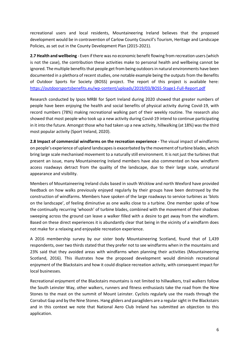recreational users and local residents, Mountaineering Ireland believes that the proposed development would be in contravention of Carlow County Council's Tourism, Heritage and Landscape Policies, as set out in the County Development Plan (2015-2021).

**2.7 Health and wellbeing** - Even if there was no economic benefit flowing from recreation users (which is not the case), the contribution these activities make to personal health and wellbeing cannot be ignored. The multiple benefits that people get from being outdoors in natural environments have been documented in a plethora of recent studies, one notable example being the outputs from the Benefits of Outdoor Sports for Society (BOSS) project. The report of this project is available here: <https://outdoorsportsbenefits.eu/wp-content/uploads/2019/03/BOSS-Stage1-Full-Report.pdf>

Research conducted by Ipsos MRBI for Sport Ireland during 2020 showed that greater numbers of people have been enjoying the health and social benefits of physical activity during Covid-19, with record numbers (78%) making recreational walking part of their weekly routine. The research also showed that most people who took up a new activity during Covid-19 intend to continue participating in it into the future. Amongst those who had taken up a new activity, hillwalking (at 18%) was the third most popular activity (Sport Ireland, 2020).

**2.8 Impact of commercial windfarms on the recreation experience -** The visual impact of windfarms on people's experience of upland landscapes is exacerbated by the movement of turbine blades, which bring large scale mechanised movement to a naturally still environment. It is not just the turbines that present an issue, many Mountaineering Ireland members have also commented on how windfarm access roadways detract from the quality of the landscape, due to their large scale, unnatural appearance and visibility.

Members of Mountaineering Ireland clubs based in south Wicklow and north Wexford have provided feedback on how walks previously enjoyed regularly by their groups have been destroyed by the construction of windfarms. Members have spoken of the large roadways to service turbines as 'blots on the landscape', of feeling diminutive as one walks close to a turbine. One member spoke of how the continually recurring 'whoosh' of turbine blades, combined with the movement of their shadows sweeping across the ground can leave a walker filled with a desire to get away from the windfarm. Based on these direct experiences it is abundantly clear that being in the vicinity of a windfarm does not make for a relaxing and enjoyable recreation experience.

A 2016 membership survey by our sister body Mountaineering Scotland, found that of 1,439 respondents, over two thirds stated that they prefer not to see windfarms when in the mountains and 23% said that they avoided areas with windfarms when planning their activities (Mountaineering Scotland, 2016). This illustrates how the proposed development would diminish recreational enjoyment of the Blackstairs and how it could displace recreation activity, with consequent impact for local businesses.

Recreational enjoyment of the Blackstairs mountains is not limited to hillwalkers, trail walkers follow the South Leinster Way, other walkers, runners and fitness enthusiasts take the road from the Nine Stones to the mast on the summit of Mount Leinster. Cyclists regularly use the roads through the Corrabut Gap and by the Nine Stones. Hang gliders and paragliders are a regular sight in the Blackstairs and in this context we note that National Aero Club Ireland has submitted an objection to this application.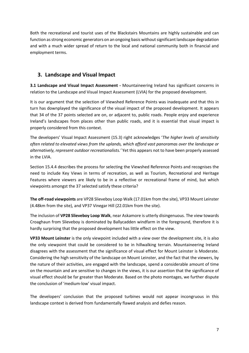Both the recreational and tourist uses of the Blackstairs Mountains are highly sustainable and can function as strong economic generators on an ongoing basis without significant landscape degradation and with a much wider spread of return to the local and national community both in financial and employment terms.

#### **3. Landscape and Visual Impact**

**3.1 Landscape and Visual Impact Assessment -** Mountaineering Ireland has significant concerns in relation to the Landscape and Visual Impact Assessment (LVIA) for the proposed development.

It is our argument that the selection of Viewshed Reference Points was inadequate and that this in turn has downplayed the significance of the visual impact of the proposed development. It appears that 34 of the 37 points selected are on, or adjacent to, public roads. People enjoy and experience Ireland's landscapes from places other than public roads, and it is essential that visual impact is properly considered from this context.

The developers' Visual Impact Assessment (15.3) right acknowledges '*The higher levels of sensitivity often related to elevated views from the uplands, which afford vast panoramas over the landscape or alternatively, represent outdoor recreationalists.'* Yet this appears not to have been properly assessed in the LVIA.

Section 15.4.4 describes the process for selecting the Viewshed Reference Points and recognises the need to include Key Views in terms of recreation, as well as Tourism, Recreational and Heritage Features where viewers are likely to be in a reflective or recreational frame of mind, but which viewpoints amongst the 37 selected satisfy these criteria?

**The off-road viewpoints** are VP28 Slieveboy Loop Walk (17.01km from the site), VP33 Mount Leinster (4.48km from the site), and VP37 Vinegar Hill (22.01km from the site).

The inclusion of **VP28 Slieveboy Loop Walk**, near Askamore is utterly disingenuous. The view towards Croaghaun from Slieveboy is dominated by Ballycadden windfarm in the foreground, therefore it is hardly surprising that the proposed development has little effect on the view.

**VP33 Mount Leinster** is the only viewpoint included with a view over the development site, it is also the only viewpoint that could be considered to be in hillwalking terrain. Mountaineering Ireland disagrees with the assessment that the significance of visual effect for Mount Leinster is Moderate. Considering the high sensitivity of the landscape on Mount Leinster, and the fact that the viewers, by the nature of their activities, are engaged with the landscape, spend a considerable amount of time on the mountain and are sensitive to changes in the views, it is our assertion that the significance of visual effect should be far greater than Moderate. Based on the photo montages, we further dispute the conclusion of 'medium-low' visual impact.

The developers' conclusion that the proposed turbines would not appear incongruous in this landscape context is derived from fundamentally flawed analysis and defies reason.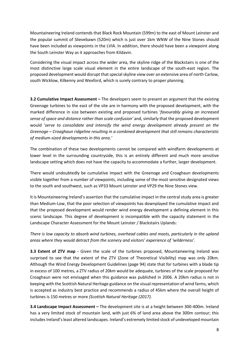Mountaineering Ireland contends that Black Rock Mountain (599m) to the east of Mount Leinster and the popular summit of Slievebawn (520m) which is just over 1km WNW of the Nine Stones should have been included as viewpoints in the LVIA. In addition, there should have been a viewpoint along the South Leinster Way as it approaches from Kildavin.

Considering the visual impact across the wider area, the skyline ridge of the Blackstairs is one of the most distinctive large scale visual element in the entire landscape of the south-east region. The proposed development would disrupt that special skyline view over an extensive area of north Carlow, south Wicklow, Kilkenny and Wexford, which is surely contrary to proper planning.

**3.2 Cumulative Impact Assessment –** The developers seem to present an argument that the existing Greenoge turbines to the east of the site are in harmony with the proposed development, with the marked difference in size between existing and proposed turbines '*favourably giving an increased sense of space and distance rather than scale confusion'* and, similarly that the proposed development would '*serve to consolidate and intensify the wind energy development already present on the Greenoge – Croaghaun ridgeline resulting in a combined development that still remains characteristic of medium-sized developments in this area.'* 

The combination of these two developments cannot be compared with windfarm developments at lower level in the surrounding countryside, this is an entirely different and much more sensitive landscape setting which does not have the capacity to accommodate a further, larger development.

There would undoubtedly be cumulative impact with the Greenoge and Croaghaun developments visible together from a number of viewpoints, including some of the most sensitive designated views to the south and southwest, such as VP33 Mount Leinster and VP29 the Nine Stones view.

It is Mountaineering Ireland's assertion that the cumulative impact in the central study area is greater than Medium-Low, that the poor selection of viewpoints has downplayed the cumulative impact and that the proposed development would render wind energy development a defining element in this scenic landscape. This degree of development is incompatible with the capacity statement in the Landscape Character Assessment for the Mount Leinster / Blackstairs Uplands:

*There is low capacity to absorb wind turbines, overhead cables and masts, particularly in the upland areas where they would detract from the scenery and visitors' experience of 'wilderness'.*

**3.3 Extent of ZTV map -** Given the scale of the turbines proposed, Mountaineering Ireland was surprised to see that the extent of the ZTV (Zone of Theoretical Visibility) map was only 20km. Although the Wind Energy Development Guidelines (page 94) state that for turbines with a blade tip in excess of 100 metres, a ZTV radius of 20km would be adequate, turbines of the scale proposed for Croaghaun were not envisaged when this guidance was published in 2006. A 20km radius is not in keeping with the Scottish Natural Heritage guidance on the visual representation of wind farms, which is accepted as industry best practice and recommends a radius of 45km where the overall height of turbines is 150 metres or more *(Scottish Natural Heritage (2017).*

**3.4 Landscape Impact Assessment –** The development site is at a height between 300-400m. Ireland has a very limited stock of mountain land, with just 6% of land area above the 300m contour; this includes Ireland's least altered landscapes. Ireland's extremely limited stock of undeveloped mountain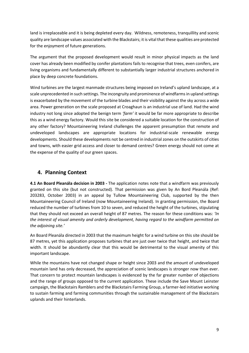land is irreplaceable and it is being depleted every day. Wildness, remoteness, tranquillity and scenic quality are landscape values associated with the Blackstairs; it is vital that these qualities are protected for the enjoyment of future generations.

The argument that the proposed development would result in minor physical impacts as the land cover has already been modified by conifer plantations fails to recognise that trees, even conifers, are living organisms and fundamentally different to substantially larger industrial structures anchored in place by deep concrete foundations.

Wind turbines are the largest manmade structures being imposed on Ireland's upland landscape, at a scale unprecedented in such settings. The incongruity and prominence of windfarms in upland settings is exacerbated by the movement of the turbine blades and their visibility against the sky across a wide area. Power generation on the scale proposed at Croaghaun is an industrial use of land. Had the wind industry not long since adopted the benign term *'farm'* it would be far more appropriate to describe this as a wind energy factory. Would this site be considered a suitable location for the construction of any other factory? Mountaineering Ireland challenges the apparent presumption that remote and undeveloped landscapes are appropriate locations for industrial-scale renewable energy developments. Should these developments not be centred in industrial zones on the outskirts of cities and towns, with easier grid access and closer to demand centres? Green energy should not come at the expense of the quality of our green spaces.

#### **4. Planning Context**

**4.1 An Board Pleanála decision in 2003 -** The application notes note that a windfarm was previously granted on this site (but not constructed). That permission was given by An Bord Pleanála (Ref: 203283, October 2003) in an appeal by Tullow Mountaineering Club, supported by the then Mountaineering Council of Ireland (now Mountaineering Ireland). In granting permission, the Board reduced the number of turbines from 10 to seven, and reduced the height of the turbines, stipulating that they should not exceed an overall height of 87 metres. The reason for these conditions was: *'In the interest of visual amenity and orderly development, having regard to the windfarm permitted on the adjoining site.'*

An Board Pleanála directed in 2003 that the maximum height for a wind turbine on this site should be 87 metres, yet this application proposes turbines that are just over twice that height, and twice that width. It should be abundantly clear that this would be detrimental to the visual amenity of this important landscape.

While the mountains have not changed shape or height since 2003 and the amount of undeveloped mountain land has only decreased, the appreciation of scenic landscapes is stronger now than ever. That concern to protect mountain landscapes is evidenced by the far greater number of objections and the range of groups opposed to the current application. These include the Save Mount Leinster campaign, the Blackstairs Ramblers and the Blackstairs Farming Group, a farmer-led initiative working to sustain farming and farming communities through the sustainable management of the Blackstairs uplands and their hinterlands.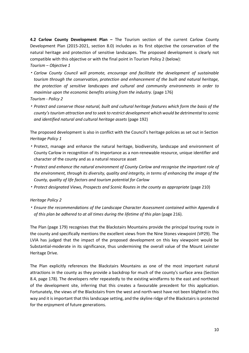**4.2 Carlow County Development Plan –** The Tourism section of the current Carlow County Development Plan (2015-2021, section 8.0) includes as its first objective the conservation of the natural heritage and protection of sensitive landscapes. The proposed development is clearly not compatible with this objective or with the final point in Tourism Policy 2 (below):

*Tourism – Objective 1*

- *Carlow County Council will promote, encourage and facilitate the development of sustainable tourism through the conservation, protection and enhancement of the built and natural heritage, the protection of sensitive landscapes and cultural and community environments in order to maximise upon the economic benefits arising from the industry.* (page 176) *Tourism - Policy 2*
- *Protect and conserve those natural, built and cultural heritage features which form the basis of the county'stourism attraction and to seek to restrict development which would be detrimental to scenic and identified natural and cultural heritage assets* (page 192)

The proposed development is also in conflict with the Council's heritage policies as set out in Section *Heritage Policy 1*

- Protect, manage and enhance the natural heritage, biodiversity, landscape and environment of County Carlow in recognition of its importance as a non-renewable resource, unique identifier and character of the county and as a natural resource asset
- *Protect and enhance the natural environment of County Carlow and recognise the important role of the environment, through its diversity, quality and integrity, in terms of enhancing the image of the County, quality of life factors and tourism potential for Carlow*
- *Protect designated Views, Prospects and Scenic Routes in the county as appropriate* (page 210)

#### *Heritage Policy 2*

• *Ensure the recommendations of the Landscape Character Assessment contained within Appendix 6 of this plan be adhered to at all times during the lifetime of this plan* (page 216).

The Plan (page 179) recognises that the Blackstairs Mountains provide the principal touring route in the county and specifically mentions the excellent views from the Nine Stones viewpoint (VP29). The LVIA has judged that the impact of the proposed development on this key viewpoint would be Substantial-moderate in its significance, thus undermining the overall value of the Mount Leinster Heritage Drive.

The Plan explicitly references the Blackstairs Mountains as one of the most important natural attractions in the county as they provide a backdrop for much of the county's surface area (Section 8.4, page 178). The developers refer repeatedly to the existing windfarms to the east and northeast of the development site, inferring that this creates a favourable precedent for this application. Fortunately, the views of the Blackstairs from the west and north-west have not been blighted in this way and it is important that this landscape setting, and the skyline ridge of the Blackstairs is protected for the enjoyment of future generations.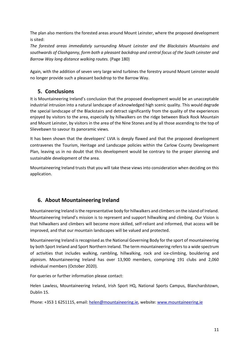The plan also mentions the forested areas around Mount Leinster, where the proposed development is sited:

*The forested areas immediately surrounding Mount Leinster and the Blackstairs Mountains and southwards of Clashganny, form both a pleasant backdrop and central focus of the South Leinster and Barrow Way long distance walking routes.* (Page 180)

Again, with the addition of seven very large wind turbines the forestry around Mount Leinster would no longer provide such a pleasant backdrop to the Barrow Way.

#### **5. Conclusions**

It is Mountaineering Ireland's conclusion that the proposed development would be an unacceptable industrial intrusion into a natural landscape of acknowledged high scenic quality. This would degrade the special landscape of the Blackstairs and detract significantly from the quality of the experiences enjoyed by visitors to the area, especially by hillwalkers on the ridge between Black Rock Mountain and Mount Leinster, by visitors in the area of the Nine Stones and by all those ascending to the top of Slievebawn to savour its panoramic views.

It has been shown that the developers' LVIA is deeply flawed and that the proposed development contravenes the Tourism, Heritage and Landscape policies within the Carlow County Development Plan, leaving us in no doubt that this development would be contrary to the proper planning and sustainable development of the area.

Mountaineering Ireland trusts that you will take these views into consideration when deciding on this application.

### **6. About Mountaineering Ireland**

Mountaineering Ireland is the representative body for hillwalkers and climbers on the island of Ireland. Mountaineering Ireland's mission is to represent and support hillwalking and climbing. Our Vision is that hillwalkers and climbers will become more skilled, self-reliant and informed, that access will be improved, and that our mountain landscapes will be valued and protected.

Mountaineering Ireland is recognised as the National Governing Body for the sport of mountaineering by both Sport Ireland and Sport Northern Ireland. The term mountaineering refers to a wide spectrum of activities that includes walking, rambling, hillwalking, rock and ice-climbing, bouldering and alpinism. Mountaineering Ireland has over 13,900 members, comprising 191 clubs and 2,060 individual members (October 2020).

For queries or further information please contact:

Helen Lawless, Mountaineering Ireland, Irish Sport HQ, National Sports Campus, Blanchardstown, Dublin 15.

Phone: +353 1 6251115, email: [helen@mountaineering.ie,](mailto:helen@mountaineering.ie) website: [www.mountaineering.ie](http://www.mountaineering.ie/)